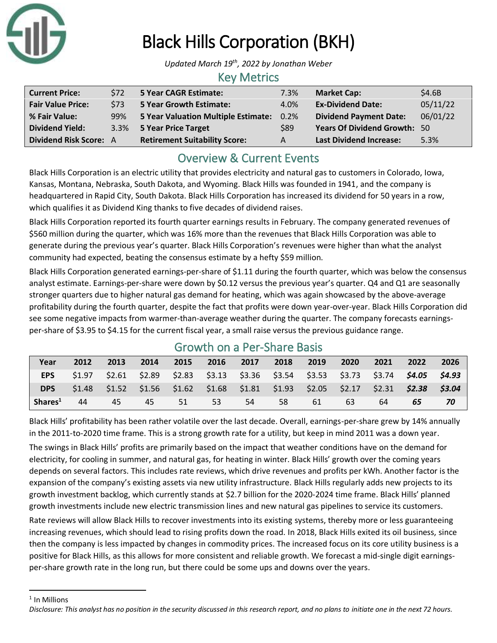

# Black Hills Corporation (BKH)

*Updated March 19th, 2022 by Jonathan Weber*

#### Key Metrics

| <b>Current Price:</b>         | S72  | 5 Year CAGR Estimate:                | 7.3% | <b>Market Cap:</b>                  | \$4.6B   |
|-------------------------------|------|--------------------------------------|------|-------------------------------------|----------|
| <b>Fair Value Price:</b>      | \$73 | <b>5 Year Growth Estimate:</b>       | 4.0% | <b>Ex-Dividend Date:</b>            | 05/11/22 |
| % Fair Value:                 | 99%  | 5 Year Valuation Multiple Estimate:  | 0.2% | <b>Dividend Payment Date:</b>       | 06/01/22 |
| <b>Dividend Yield:</b>        |      | 3.3% 5 Year Price Target             | \$89 | <b>Years Of Dividend Growth: 50</b> |          |
| <b>Dividend Risk Score: A</b> |      | <b>Retirement Suitability Score:</b> | А    | <b>Last Dividend Increase:</b>      | 5.3%     |

# Overview & Current Events

Black Hills Corporation is an electric utility that provides electricity and natural gas to customers in Colorado, Iowa, Kansas, Montana, Nebraska, South Dakota, and Wyoming. Black Hills was founded in 1941, and the company is headquartered in Rapid City, South Dakota. Black Hills Corporation has increased its dividend for 50 years in a row, which qualifies it as Dividend King thanks to five decades of dividend raises.

Black Hills Corporation reported its fourth quarter earnings results in February. The company generated revenues of \$560 million during the quarter, which was 16% more than the revenues that Black Hills Corporation was able to generate during the previous year's quarter. Black Hills Corporation's revenues were higher than what the analyst community had expected, beating the consensus estimate by a hefty \$59 million.

Black Hills Corporation generated earnings-per-share of \$1.11 during the fourth quarter, which was below the consensus analyst estimate. Earnings-per-share were down by \$0.12 versus the previous year's quarter. Q4 and Q1 are seasonally stronger quarters due to higher natural gas demand for heating, which was again showcased by the above-average profitability during the fourth quarter, despite the fact that profits were down year-over-year. Black Hills Corporation did see some negative impacts from warmer-than-average weather during the quarter. The company forecasts earningsper-share of \$3.95 to \$4.15 for the current fiscal year, a small raise versus the previous guidance range.

| <u>UIUWUI UII U I UI UIIUI UUJIJ</u> |        |      |      |                  |    |                                                                                                 |      |      |      |      |      |      |
|--------------------------------------|--------|------|------|------------------|----|-------------------------------------------------------------------------------------------------|------|------|------|------|------|------|
| Year                                 | 2012   | 2013 | 2014 | 2015             |    | 2016 2017                                                                                       | 2018 | 2019 | 2020 | 2021 | 2022 | 2026 |
| EPS                                  | \$1.97 |      |      |                  |    | $$2.61$ $$2.89$ $$2.83$ $$3.13$ $$3.36$ $$3.54$ $$3.53$ $$3.73$ $$3.74$ $$4.05$ $$4.93$         |      |      |      |      |      |      |
| <b>DPS</b>                           |        |      |      |                  |    | $$1.48$ $$1.52$ $$1.56$ $$1.62$ $$1.68$ $$1.81$ $$1.93$ $$2.05$ $$2.17$ $$2.31$ $$2.38$ $$3.04$ |      |      |      |      |      |      |
| Shares <sup>1</sup>                  | 44     | 45   | 45   | $\sim$ 51 $\sim$ | 53 | 54                                                                                              | 58   | 61   | 63   | 64   | 65   |      |

### Growth on a Per-Share Basis

Black Hills' profitability has been rather volatile over the last decade. Overall, earnings-per-share grew by 14% annually in the 2011-to-2020 time frame. This is a strong growth rate for a utility, but keep in mind 2011 was a down year.

The swings in Black Hills' profits are primarily based on the impact that weather conditions have on the demand for electricity, for cooling in summer, and natural gas, for heating in winter. Black Hills' growth over the coming years depends on several factors. This includes rate reviews, which drive revenues and profits per kWh. Another factor is the expansion of the company's existing assets via new utility infrastructure. Black Hills regularly adds new projects to its growth investment backlog, which currently stands at \$2.7 billion for the 2020-2024 time frame. Black Hills' planned growth investments include new electric transmission lines and new natural gas pipelines to service its customers.

Rate reviews will allow Black Hills to recover investments into its existing systems, thereby more or less guaranteeing increasing revenues, which should lead to rising profits down the road. In 2018, Black Hills exited its oil business, since then the company is less impacted by changes in commodity prices. The increased focus on its core utility business is a positive for Black Hills, as this allows for more consistent and reliable growth. We forecast a mid-single digit earningsper-share growth rate in the long run, but there could be some ups and downs over the years.

<sup>1</sup> In Millions

*Disclosure: This analyst has no position in the security discussed in this research report, and no plans to initiate one in the next 72 hours.*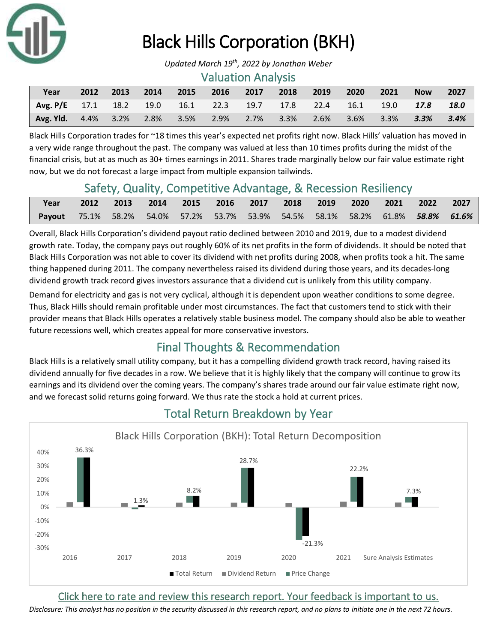

# Black Hills Corporation (BKH)

*Updated March 19th, 2022 by Jonathan Weber*

#### Valuation Analysis

| Year                                                                   | 2012 | 2013 | $\sim$ 2014 | $\sim$ 2015 | 2016 | 2017 2018 | 2019 | 2020 | $\sim$ 2021 | <b>Now</b>                      | 2027 |
|------------------------------------------------------------------------|------|------|-------------|-------------|------|-----------|------|------|-------------|---------------------------------|------|
| <b>Avg. P/E</b> 17.1 18.2 19.0 16.1 22.3 19.7 17.8 22.4 16.1 19.0 17.8 |      |      |             |             |      |           |      |      |             |                                 | 18.0 |
| Avg. Yld. 4.4% 3.2% 2.8% 3.5% 2.9% 2.7% 3.3%                           |      |      |             |             |      |           |      |      |             | 2.6% 3.6% 3.3% <b>3.3% 3.4%</b> |      |

Black Hills Corporation trades for ~18 times this year's expected net profits right now. Black Hills' valuation has moved in a very wide range throughout the past. The company was valued at less than 10 times profits during the midst of the financial crisis, but at as much as 30+ times earnings in 2011. Shares trade marginally below our fair value estimate right now, but we do not forecast a large impact from multiple expansion tailwinds.

### Safety, Quality, Competitive Advantage, & Recession Resiliency

| Year                                                                           | 2012 2013 2014 2015 2016 2017 2018 2019 2020 2021 2022 2027 |  |  |  |  |  |
|--------------------------------------------------------------------------------|-------------------------------------------------------------|--|--|--|--|--|
| Payout 75.1% 58.2% 54.0% 57.2% 53.7% 53.9% 54.5% 58.1% 58.2% 61.8% 58.8% 61.6% |                                                             |  |  |  |  |  |

Overall, Black Hills Corporation's dividend payout ratio declined between 2010 and 2019, due to a modest dividend growth rate. Today, the company pays out roughly 60% of its net profits in the form of dividends. It should be noted that Black Hills Corporation was not able to cover its dividend with net profits during 2008, when profits took a hit. The same thing happened during 2011. The company nevertheless raised its dividend during those years, and its decades-long dividend growth track record gives investors assurance that a dividend cut is unlikely from this utility company.

Demand for electricity and gas is not very cyclical, although it is dependent upon weather conditions to some degree. Thus, Black Hills should remain profitable under most circumstances. The fact that customers tend to stick with their provider means that Black Hills operates a relatively stable business model. The company should also be able to weather future recessions well, which creates appeal for more conservative investors.

# Final Thoughts & Recommendation

Black Hills is a relatively small utility company, but it has a compelling dividend growth track record, having raised its dividend annually for five decades in a row. We believe that it is highly likely that the company will continue to grow its earnings and its dividend over the coming years. The company's shares trade around our fair value estimate right now, and we forecast solid returns going forward. We thus rate the stock a hold at current prices.



# Total Return Breakdown by Year

[Click here to rate and review this research report. Your feedback is important to us.](https://suredividend.typeform.com/to/ScKeFu)

*Disclosure: This analyst has no position in the security discussed in this research report, and no plans to initiate one in the next 72 hours.*